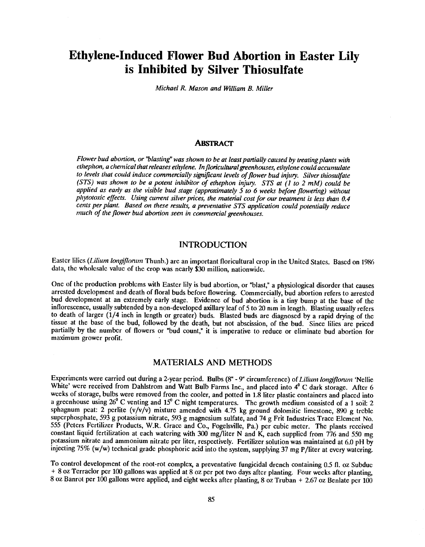# Ethylene- Induced Flower Bud Abortion in Easter Lily is Inhibited by Silver Thiosulfate

Michael R. Mason and William B. Miller

#### ABSTRACT

Flower bud abortion, or 'blasting" was shown to be at least partially caused by treating plants with ethephon, a chemical that releases ethylene. In floricultural greenhouses, ethylene could accumulate to levels that could induce commercially significant levels of flower bud injury. Silver thiosulfate (STS) was shown to be a potent inhibitor of ethephon injury. STS at (1 to 2 mM) could be applied as early as the visible bud stage (approximately  $5$  to 6 weeks before flowering) without phytotoxic effects. Using current silver prices, the material cost for our treatment is less than 0.4 cents per plant. Based on these results, a preventative STS application could potentially reduce much of the flower bud abortion seen in commercial greenhouses.

### INTRODUCTION

Easter lilies (Lilium longiflonun Thunb.) are an important floricultural crop in the United States. Based on 1986 data, the wholesale value of the crop was nearly \$30 million, nationwide.

One of the production problems with Easter lily is bud abortion, or "blast," a physiological disorder that causes arrested development and death of floral buds before flowering. Commercially, bud abortion refers to arrested bud development at an extremely early stage. Evidence of bud abortion is a tiny bump at the base of the inflorescence, usually subtended by a non -developed axillary leaf of 5 to 20 mm in length. Blasting usually refers to death of larger (1/4 inch in length or greater) buds. Blasted buds are diagnosed by a rapid drying of the partially by the number of flowers or "bud count," it is imperative to reduce or eliminate bud abortion for maximum grower profit.

## MATERIALS AND METHODS

Experiments were carried out during a 2-year period. Bulbs (8" - 9" circumference) of Lilium longiflorum 'Nellie Experiments were carried out during a 2 year person. Eliast to the connection of containing the connection of the White' were received from Dahlstrom and Watt Bulb Farms Inc., and placed into 4<sup>°</sup> C dark storage. After 6 weeks of storage, bulbs were removed from the cooler, and potted in 1.8 liter plastic containers and placed into a greenhouse using  $26^{\circ}$  C venting and  $15^{\circ}$  C night temperatures. The growth medium consisted of a 1 soil: 2 sphagnum peat:  $2$  perlite (v/v/v) mixture amended with 4.75 kg ground dolomitic limestone, 890 g treble superphosphate, 593 g potassium nitrate, 593 g magnesium sulfate, and 74 g Frit Industries Trace Element No. 555 (Peters Fertilizer Products, W.R. Grace and Co., Fogelsville, Pa.) per cubic meter. The plants received constant liquid fertilization at each watering with 300 mg/liter N and K, each supplied from 776 and 550 mg potassium nitrate and ammonium nitrate per liter, respectively. Fertilizer solution was maintained at 6.0 pH by injecting 75% (w/w) technical grade phosphoric acid into the system, supplying 37 mg P/liter at every watering.

To control development of the root-rot complex, a preventative fungicidal drench containing 0.5 fl. oz Subdue + 8 oz Terraclor per 100 gallons was applied at 8 oz per pot two days after planting. Four weeks after planting, 8 oz Banrot per 100 gallons were applied, and eight weeks after planting, 8 oz Truban + 2.67 oz Benlate per 100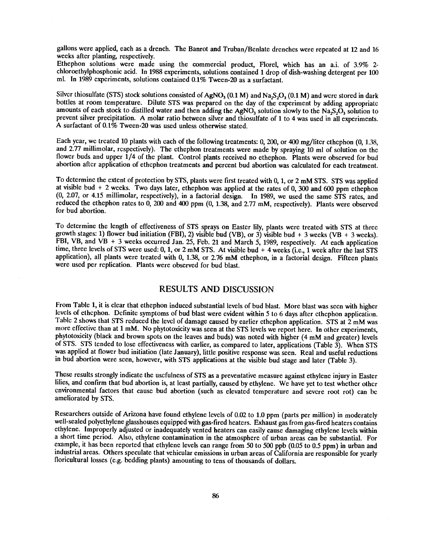gallons were applied, each as a drench. The Banrot and Truban /Benlate drenches were repeated at 12 and 16 weeks after planting, respectively.

Ethephon solutions were made using the commercial product, Florel, which has an a.i. of 3.9% 2 chloroethylphosphonic acid. In 1988 experiments, solutions contained 1 drop of dish -washing detergent per 100 ml. In 1989 experiments, solutions contained 0.1% Tween -20 as a surfactant.

Silver thiosulfate (STS) stock solutions consisted of AgNO<sub>3</sub> (0.1 M) and Na<sub>2</sub>S<sub>2</sub>O<sub>3</sub> (0.1 M) and were stored in dark bottles at room temperature. Dilute STS was prepared on the day of the experiment by adding appropriate amounts of each stock to distilled water and then adding the AgNO<sub>3</sub> solution slowly to the Na<sub>2</sub>S<sub>2</sub>O<sub>3</sub> solution to prevent silver precipitation. A molar ratio between silver and thiosulfate of 1 to 4 was used in all experiments. A surfactant of 0.1% Tween -20 was used unless otherwise stated.

Each year, we treated 10 plants with each of the following treatments: 0, 200, or 400 mg/liter ethephon (0, 1.38, and 2.77 millimolar, respectively). The ethephon treatments were made by spraying 10 ml of solution on the flower buds and upper 1/4 of the plant. Control plants received no ethephon. Plants were observed for bud abortion after application of ethephon treatments and percent bud abortion was calculated for each treatment.

To determine the extent of protection by STS, plants were first treated with 0, 1, or 2 mM STS. STS was applied at visible bud + 2 weeks. Two days later, ethephon was applied at the rates of 0, 300 and 600 ppm ethephon (0, 2.07, or 4.15 millimolar, respectively), in a factorial design. In 1989, we used the same STS rates, and reduced the ethephon rates to 0, 200 and 400 ppm (0, 1.38, and 2.77 mM, respectively). Plants were observed for bud abortion.

To determine the length of effectiveness of STS sprays on Easter lily, plants were treated with STS at three growth stages: 1) flower bud initiation (FBI), 2) visible bud (VB), or 3) visible bud + 3 weeks (VB + 3 weeks). FBI, VB, and VB + 3 weeks occurred Jan. 25, Feb. 21 and March 5, 1989, respectively. At each application time, three levels of STS were used: 0, 1, or 2 mM STS. At visible bud + 4 weeks (i.e., 1 week after the last STS application), all plants were treated with 0, 1.38, or 2.76 mM ethephon, in a factorial design. Fifteen plants were used per replication. Plants were observed for bud blast.

#### RESULTS AND DISCUSSION

From Table 1, it is clear that ethephon induced substantial levels of bud blast. More blast was seen with higher levels of ethephon. Definite symptoms of bud blast were evident within 5 to 6 days after ethephon application. Table 2 shows that STS reduced the level of damage caused by earlier ethephon application. STS at 2 mM was more effective than at 1 mM. No phytotoxicity was seen at the STS levels we report here. In other experiments, phytotoxicity (black and brown spots on the leaves and buds) was noted with higher (4 mM and greater) levels of STS. STS tended to lose effectiveness with earlier, as compared to later, applications (Table 3). When STS was applied at flower bud initiation (late January), little positive response was seen. Real and useful reductions in bud abortion were seen, however, with STS applications at the visible bud stage and later (Table 3).

These results strongly indicate the usefulness of STS as a preventative measure against ethylene injury in Easter lilies, and confirm that bud abortion is, at least partially, caused by ethylene. We have yet to test whether other environmental factors that cause bud abortion (such as elevated temperature and severe root rot) can be ameliorated by STS.

Researchers outside of Arizona have found ethylene levels of 0.02 to 1.0 ppm (parts per million) in moderately well-sealed polyethylene glasshouses equipped with gas-fired heaters. Exhaust gas from gas-fired heaters contains ethylene. Improperly adjusted or inadequately vented heaters can easily cause damaging ethylene levels within a short time period. Also, ethylene contamination in the atmosphere of urban areas can be substantial. For example, it has been reported that ethylene levels can range from 50 to 500 ppb (0.05 to 0.5 ppm) in urban and industrial areas. Others speculate that vehicular emissions in urban areas of California are responsible for yearly floricultural losses (e.g. bedding plants) amounting to tens of thousands of dollars.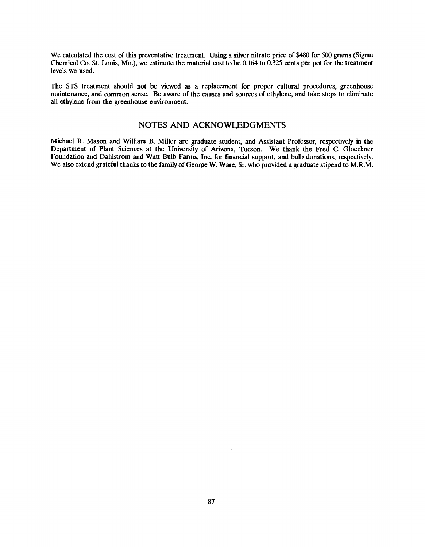We calculated the cost of this preventative treatment. Using a silver nitrate price of \$480 for 500 grams (Sigma Chemical Co. St. Louis, Mo.), we estimate the material cost to be 0.164 to 0325 cents per pot for the treatment levels we used.

The STS treatment should not be viewed as a replacement for proper cultural procedures, greenhouse maintenance, and common sense. Be aware of the causes and sources of ethylene, and take steps to eliminate all ethylene from the greenhouse environment.

## NOTES AND ACKNOWLEDGMENTS

Michael R. Mason and William B. Miller are graduate student, and Assistant Professor, respectively in the Department of Plant Sciences at the University of Arizona, Tucson. We thank the Fred C. Gloeckner Foundation and Dahlstrom and Watt Bulb Farms, Inc. for financial support, and bulb donations, respectively. We also extend grateful thanks to the family of George W. Ware, Sr. who provided a graduate stipend to M.R.M.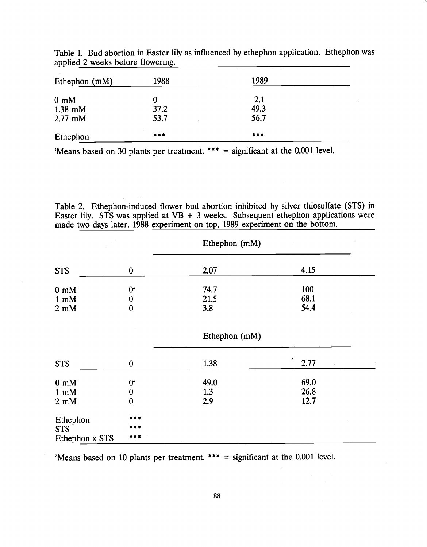| Ethephon (mM)          | 1988         | 1989         |  |
|------------------------|--------------|--------------|--|
| $0 \text{ mM}$         | 0            | 2.1          |  |
| $1.38$ mM<br>$2.77$ mM | 37.2<br>53.7 | 49.3<br>56.7 |  |
| Ethephon               | ***          | ***          |  |

Table 1. Bud abortion in Easter lily as influenced by ethephon application. Ethephon was applied 2 weeks before flowering.

'Means based on 30 plants per treatment. \*\*\* = significant at the 0.001 level.

Table 2. Ethephon-induced flower bud abortion inhibited by silver thiosulfate (STS) in Easter lily. STS was applied at VB + 3 weeks. Subsequent ethephon applications were made two days later. 1988 experiment on top, 1989 experiment on the bottom.

|                                  |                                 | Ethephon (mM) |             |  |
|----------------------------------|---------------------------------|---------------|-------------|--|
| <b>STS</b>                       | $\bf{0}$                        | 2.07          | 4.15        |  |
| $0 \text{ mM}$<br>$1 \text{ mM}$ | $0^{\rm z}$<br>$\boldsymbol{0}$ | 74.7<br>21.5  | 100<br>68.1 |  |
| $2 \text{ mM}$                   | $\bf{0}$                        | 3.8           | 54.4        |  |
|                                  |                                 | Ethephon (mM) |             |  |
| <b>STS</b>                       | $\bf{0}$                        | 1.38          | 2.77        |  |
| $0 \text{ mM}$                   | $0^{\rm z}$                     | 49.0          | 69.0        |  |
| $1 \text{ mM}$                   | $\bf{0}$                        | 1.3           | 26.8        |  |
| $2 \text{ mM}$                   | $\bf{0}$                        | 2.9           | 12.7        |  |
| Ethephon                         | ***                             |               |             |  |
| <b>STS</b>                       | ***                             |               |             |  |
| Ethephon x STS                   | ***                             |               |             |  |

'Means based on 10 plants per treatment. \* \*\* = significant at the 0.001 level.